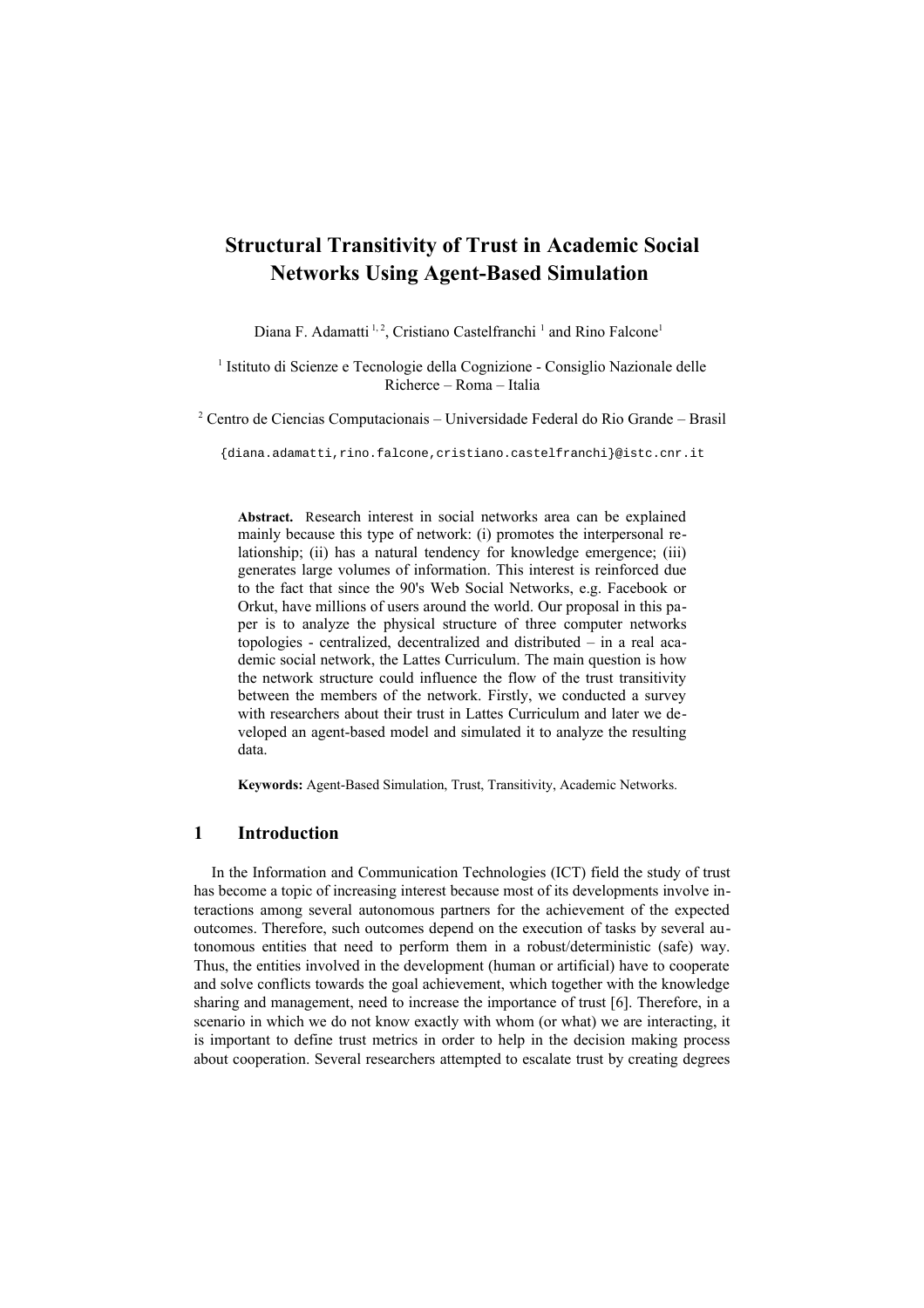# **Structural Transitivity of Trust in Academic Social Networks Using Agent-Based Simulation**

Diana F. Adamatti<sup>1,2</sup>, Cristiano Castelfranchi<sup>1</sup> and Rino Falcone<sup>1</sup>

<sup>1</sup> Istituto di Scienze e Tecnologie della Cognizione - Consiglio Nazionale delle Richerce – Roma – Italia

2 Centro de Ciencias Computacionais – Universidade Federal do Rio Grande – Brasil

{diana.adamatti,rino.falcone,cristiano.castelfranchi}@istc.cnr.it

**Abstract.** Research interest in social networks area can be explained mainly because this type of network: (i) promotes the interpersonal relationship; (ii) has a natural tendency for knowledge emergence; (iii) generates large volumes of information. This interest is reinforced due to the fact that since the 90's Web Social Networks, e.g. Facebook or Orkut, have millions of users around the world. Our proposal in this paper is to analyze the physical structure of three computer networks topologies - centralized, decentralized and distributed – in a real academic social network, the Lattes Curriculum. The main question is how the network structure could influence the flow of the trust transitivity between the members of the network. Firstly, we conducted a survey with researchers about their trust in Lattes Curriculum and later we developed an agent-based model and simulated it to analyze the resulting data.

**Keywords:** Agent-Based Simulation, Trust, Transitivity, Academic Networks.

### **1 Introduction**

In the Information and Communication Technologies (ICT) field the study of trust has become a topic of increasing interest because most of its developments involve interactions among several autonomous partners for the achievement of the expected outcomes. Therefore, such outcomes depend on the execution of tasks by several autonomous entities that need to perform them in a robust/deterministic (safe) way. Thus, the entities involved in the development (human or artificial) have to cooperate and solve conflicts towards the goal achievement, which together with the knowledge sharing and management, need to increase the importance of trust [6]. Therefore, in a scenario in which we do not know exactly with whom (or what) we are interacting, it is important to define trust metrics in order to help in the decision making process about cooperation. Several researchers attempted to escalate trust by creating degrees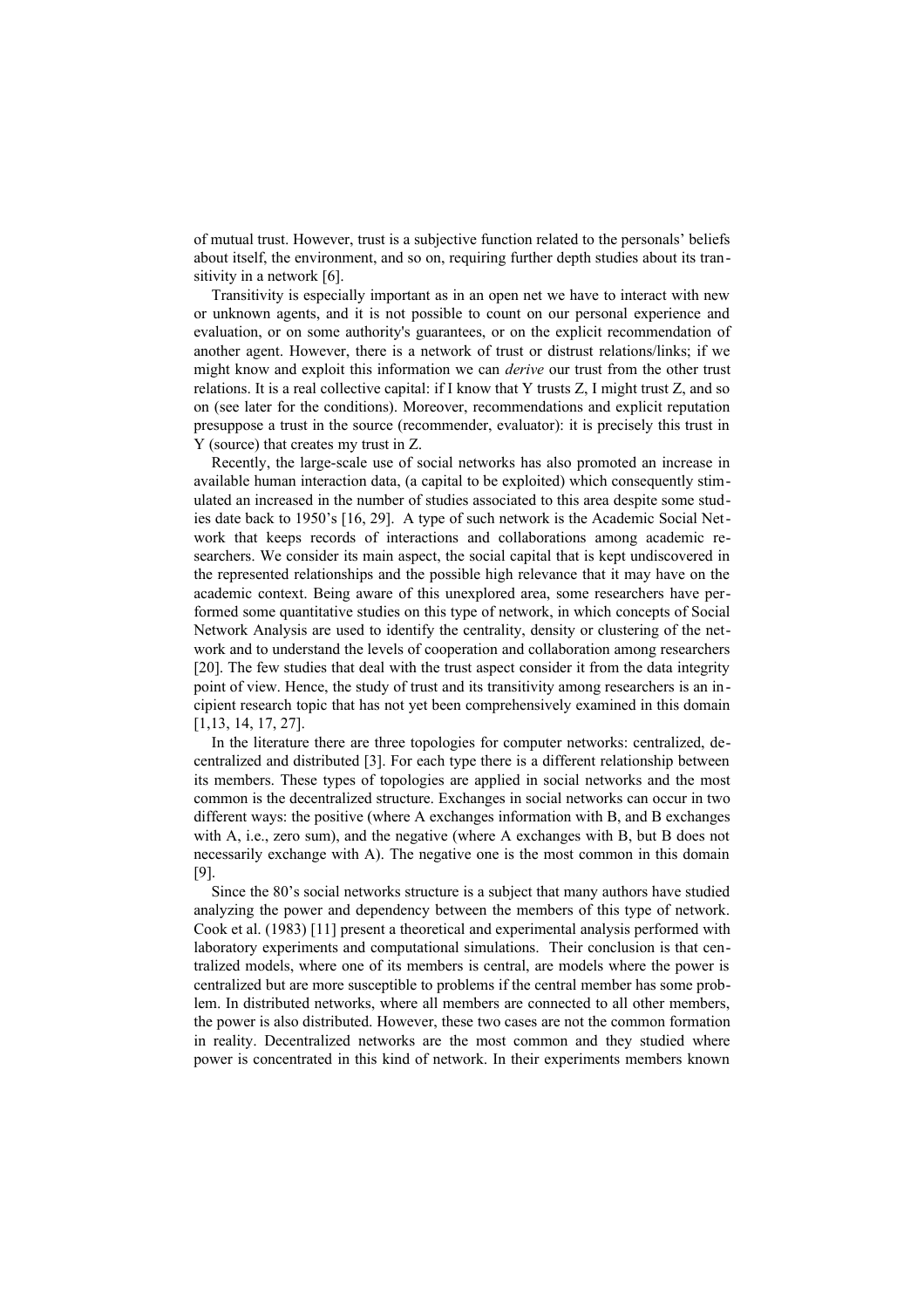of mutual trust. However, trust is a subjective function related to the personals' beliefs about itself, the environment, and so on, requiring further depth studies about its transitivity in a network [6].

Transitivity is especially important as in an open net we have to interact with new or unknown agents, and it is not possible to count on our personal experience and evaluation, or on some authority's guarantees, or on the explicit recommendation of another agent. However, there is a network of trust or distrust relations/links; if we might know and exploit this information we can *derive* our trust from the other trust relations. It is a real collective capital: if I know that Y trusts Z, I might trust Z, and so on (see later for the conditions). Moreover, recommendations and explicit reputation presuppose a trust in the source (recommender, evaluator): it is precisely this trust in Y (source) that creates my trust in Z.

Recently, the large-scale use of social networks has also promoted an increase in available human interaction data, (a capital to be exploited) which consequently stimulated an increased in the number of studies associated to this area despite some studies date back to 1950's [16, 29]. A type of such network is the Academic Social Network that keeps records of interactions and collaborations among academic researchers. We consider its main aspect, the social capital that is kept undiscovered in the represented relationships and the possible high relevance that it may have on the academic context. Being aware of this unexplored area, some researchers have performed some quantitative studies on this type of network, in which concepts of Social Network Analysis are used to identify the centrality, density or clustering of the network and to understand the levels of cooperation and collaboration among researchers [20]. The few studies that deal with the trust aspect consider it from the data integrity point of view. Hence, the study of trust and its transitivity among researchers is an incipient research topic that has not yet been comprehensively examined in this domain [1,13, 14, 17, 27].

In the literature there are three topologies for computer networks: centralized, decentralized and distributed [3]. For each type there is a different relationship between its members. These types of topologies are applied in social networks and the most common is the decentralized structure. Exchanges in social networks can occur in two different ways: the positive (where A exchanges information with B, and B exchanges with A, i.e., zero sum), and the negative (where A exchanges with B, but B does not necessarily exchange with A). The negative one is the most common in this domain [9].

Since the 80's social networks structure is a subject that many authors have studied analyzing the power and dependency between the members of this type of network. Cook et al. (1983) [11] present a theoretical and experimental analysis performed with laboratory experiments and computational simulations. Their conclusion is that centralized models, where one of its members is central, are models where the power is centralized but are more susceptible to problems if the central member has some problem. In distributed networks, where all members are connected to all other members, the power is also distributed. However, these two cases are not the common formation in reality. Decentralized networks are the most common and they studied where power is concentrated in this kind of network. In their experiments members known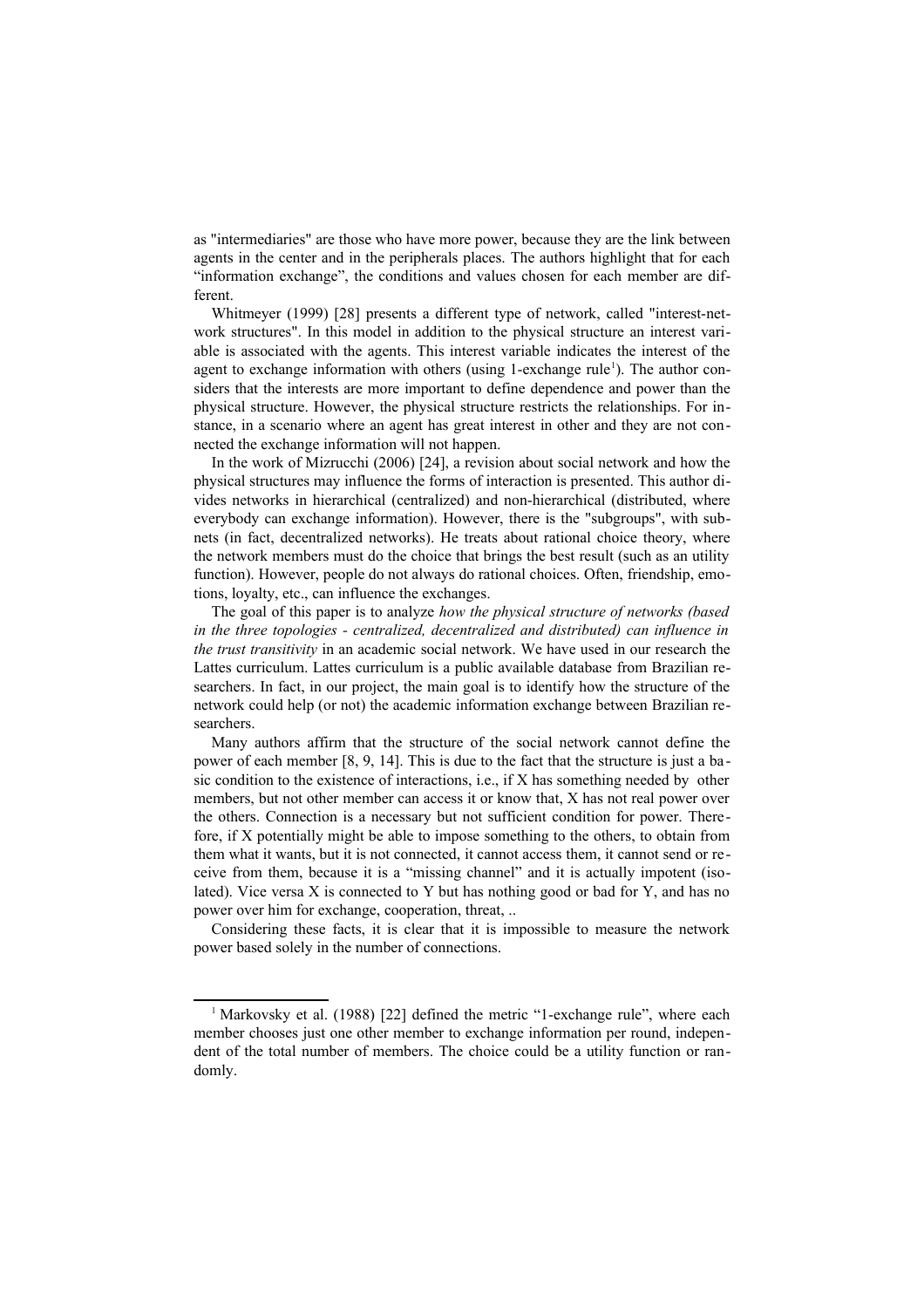as "intermediaries" are those who have more power, because they are the link between agents in the center and in the peripherals places. The authors highlight that for each "information exchange", the conditions and values chosen for each member are different.

Whitmeyer (1999) [28] presents a different type of network, called "interest-network structures". In this model in addition to the physical structure an interest variable is associated with the agents. This interest variable indicates the interest of the agent to exchange information with others (using [1](#page-2-0)-exchange rule<sup>1</sup>). The author considers that the interests are more important to define dependence and power than the physical structure. However, the physical structure restricts the relationships. For instance, in a scenario where an agent has great interest in other and they are not connected the exchange information will not happen.

In the work of Mizrucchi (2006) [24], a revision about social network and how the physical structures may influence the forms of interaction is presented. This author divides networks in hierarchical (centralized) and non-hierarchical (distributed, where everybody can exchange information). However, there is the "subgroups", with subnets (in fact, decentralized networks). He treats about rational choice theory, where the network members must do the choice that brings the best result (such as an utility function). However, people do not always do rational choices. Often, friendship, emotions, loyalty, etc., can influence the exchanges.

The goal of this paper is to analyze *how the physical structure of networks (based in the three topologies - centralized, decentralized and distributed) can influence in the trust transitivity* in an academic social network. We have used in our research the Lattes curriculum. Lattes curriculum is a public available database from Brazilian researchers. In fact, in our project, the main goal is to identify how the structure of the network could help (or not) the academic information exchange between Brazilian researchers.

Many authors affirm that the structure of the social network cannot define the power of each member [8, 9, 14]. This is due to the fact that the structure is just a ba sic condition to the existence of interactions, i.e., if X has something needed by other members, but not other member can access it or know that, X has not real power over the others. Connection is a necessary but not sufficient condition for power. Therefore, if X potentially might be able to impose something to the others, to obtain from them what it wants, but it is not connected, it cannot access them, it cannot send or receive from them, because it is a "missing channel" and it is actually impotent (isolated). Vice versa X is connected to Y but has nothing good or bad for Y, and has no power over him for exchange, cooperation, threat, ..

Considering these facts, it is clear that it is impossible to measure the network power based solely in the number of connections.

<span id="page-2-0"></span><sup>&</sup>lt;sup>1</sup> Markovsky et al. (1988) [22] defined the metric "1-exchange rule", where each member chooses just one other member to exchange information per round, independent of the total number of members. The choice could be a utility function or randomly.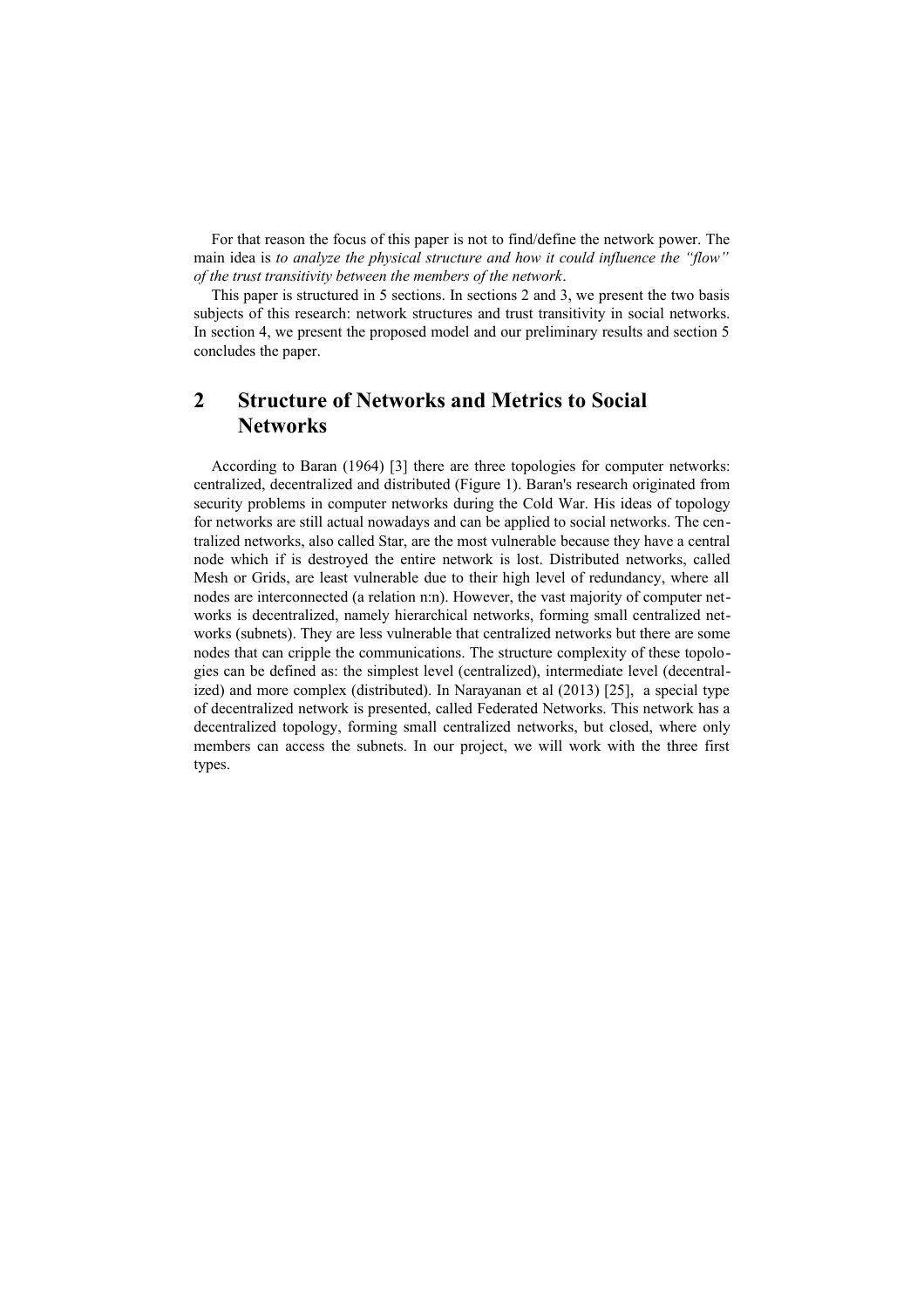For that reason the focus of this paper is not to find/define the network power. The main idea is *to analyze the physical structure and how it could influence the "flow" of the trust transitivity between the members of the network*.

This paper is structured in 5 sections. In sections 2 and 3, we present the two basis subjects of this research: network structures and trust transitivity in social networks. In section 4, we present the proposed model and our preliminary results and section 5 concludes the paper.

# **2 Structure of Networks and Metrics to Social Networks**

According to Baran (1964) [3] there are three topologies for computer networks: centralized, decentralized and distributed (Figure 1). Baran's research originated from security problems in computer networks during the Cold War. His ideas of topology for networks are still actual nowadays and can be applied to social networks. The centralized networks, also called Star, are the most vulnerable because they have a central node which if is destroyed the entire network is lost. Distributed networks, called Mesh or Grids, are least vulnerable due to their high level of redundancy, where all nodes are interconnected (a relation n:n). However, the vast majority of computer networks is decentralized, namely hierarchical networks, forming small centralized networks (subnets). They are less vulnerable that centralized networks but there are some nodes that can cripple the communications. The structure complexity of these topologies can be defined as: the simplest level (centralized), intermediate level (decentralized) and more complex (distributed). In Narayanan et al (2013) [25], a special type of decentralized network is presented, called Federated Networks. This network has a decentralized topology, forming small centralized networks, but closed, where only members can access the subnets. In our project, we will work with the three first types.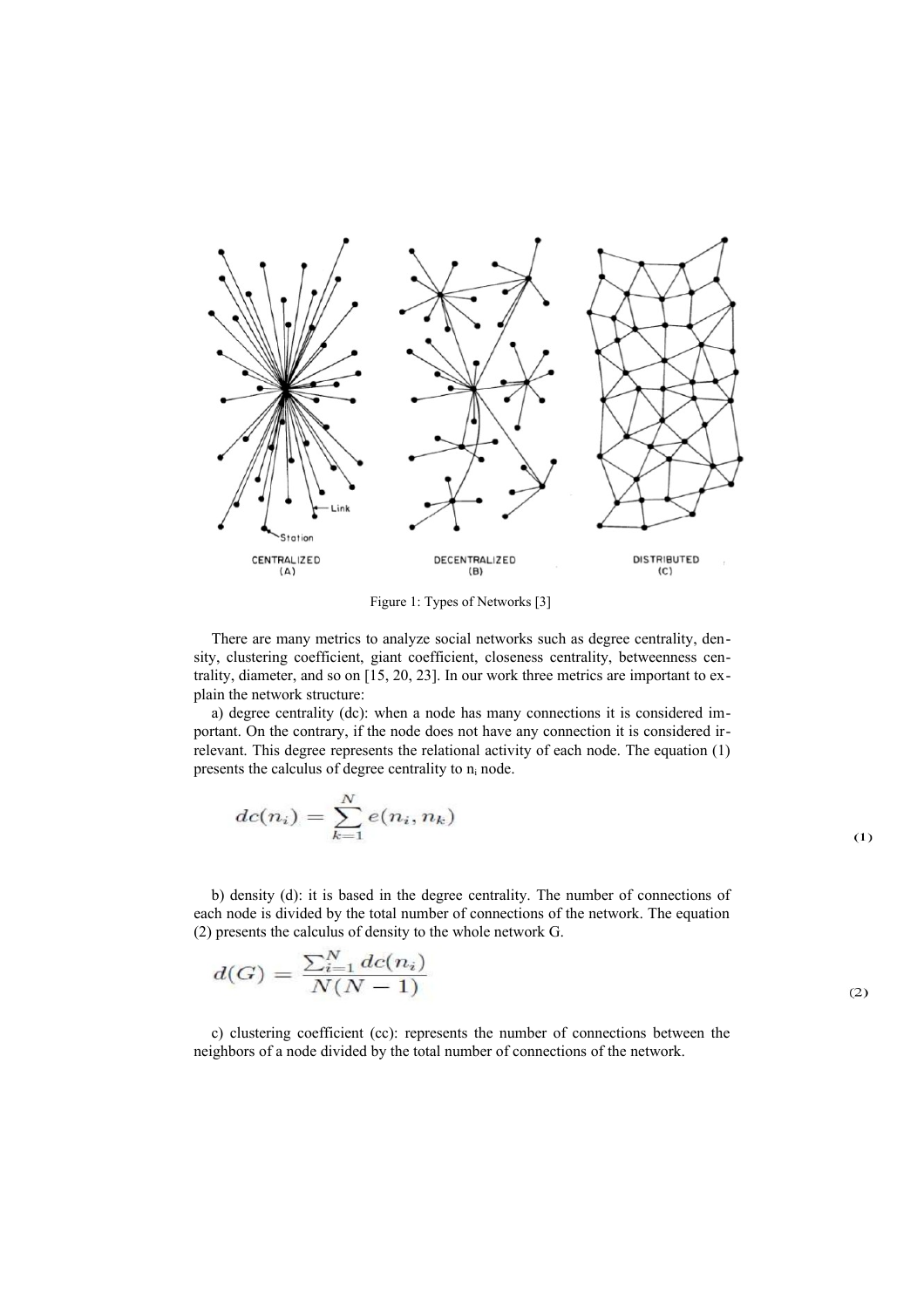

Figure 1: Types of Networks [3]

There are many metrics to analyze social networks such as degree centrality, density, clustering coefficient, giant coefficient, closeness centrality, betweenness centrality, diameter, and so on [15, 20, 23]. In our work three metrics are important to explain the network structure:

a) degree centrality (dc): when a node has many connections it is considered important. On the contrary, if the node does not have any connection it is considered irrelevant. This degree represents the relational activity of each node. The equation (1) presents the calculus of degree centrality to  $n_i$  node.

$$
dc(n_i) = \sum_{k=1}^{N} e(n_i, n_k)
$$

b) density (d): it is based in the degree centrality. The number of connections of each node is divided by the total number of connections of the network. The equation (2) presents the calculus of density to the whole network G.

$$
d(G) = \frac{\sum_{i=1}^{N} dc(n_i)}{N(N-1)}
$$
\n(2)

c) clustering coefficient (cc): represents the number of connections between the neighbors of a node divided by the total number of connections of the network.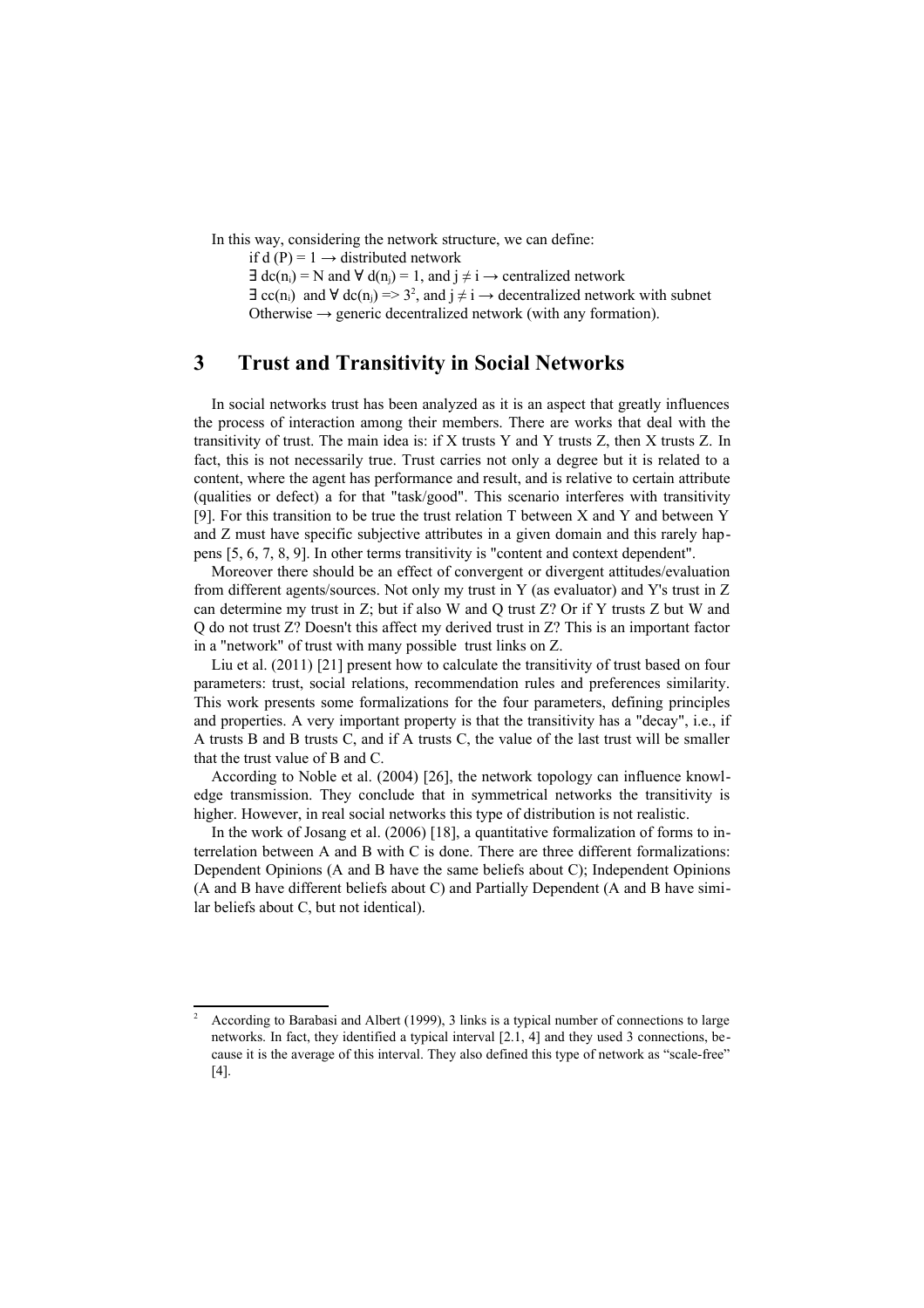In this way, considering the network structure, we can define:

if d (P) =  $1 \rightarrow$  distributed network

 $\exists$  dc(n<sub>i</sub>) = N and  $\forall$  d(n<sub>i</sub>) = 1, and  $j \neq i \rightarrow$  centralized network

 $\exists$  cc(n<sub>i</sub>) and  $\forall$  dc(n<sub>i</sub>) => 3<sup>[2](#page-5-0)</sup>, and j  $\neq$  i  $\rightarrow$  decentralized network with subnet Otherwise  $\rightarrow$  generic decentralized network (with any formation).

### **3 Trust and Transitivity in Social Networks**

In social networks trust has been analyzed as it is an aspect that greatly influences the process of interaction among their members. There are works that deal with the transitivity of trust. The main idea is: if X trusts Y and Y trusts Z, then X trusts Z. In fact, this is not necessarily true. Trust carries not only a degree but it is related to a content, where the agent has performance and result, and is relative to certain attribute (qualities or defect) a for that "task/good". This scenario interferes with transitivity [9]. For this transition to be true the trust relation T between X and Y and between Y and Z must have specific subjective attributes in a given domain and this rarely happens [5, 6, 7, 8, 9]. In other terms transitivity is "content and context dependent".

Moreover there should be an effect of convergent or divergent attitudes/evaluation from different agents/sources. Not only my trust in Y (as evaluator) and Y's trust in Z can determine my trust in Z; but if also W and Q trust Z? Or if Y trusts Z but W and Q do not trust Z? Doesn't this affect my derived trust in Z? This is an important factor in a "network" of trust with many possible trust links on Z.

Liu et al. (2011) [21] present how to calculate the transitivity of trust based on four parameters: trust, social relations, recommendation rules and preferences similarity. This work presents some formalizations for the four parameters, defining principles and properties. A very important property is that the transitivity has a "decay", i.e., if A trusts B and B trusts C, and if A trusts C, the value of the last trust will be smaller that the trust value of B and C.

According to Noble et al. (2004) [26], the network topology can influence knowledge transmission. They conclude that in symmetrical networks the transitivity is higher. However, in real social networks this type of distribution is not realistic.

In the work of Josang et al. (2006) [18], a quantitative formalization of forms to interrelation between A and B with C is done. There are three different formalizations: Dependent Opinions (A and B have the same beliefs about C); Independent Opinions (A and B have different beliefs about C) and Partially Dependent (A and B have similar beliefs about C, but not identical).

<span id="page-5-0"></span><sup>2</sup> According to Barabasi and Albert (1999), 3 links is a typical number of connections to large networks. In fact, they identified a typical interval [2.1, 4] and they used 3 connections, because it is the average of this interval. They also defined this type of network as "scale-free" [4].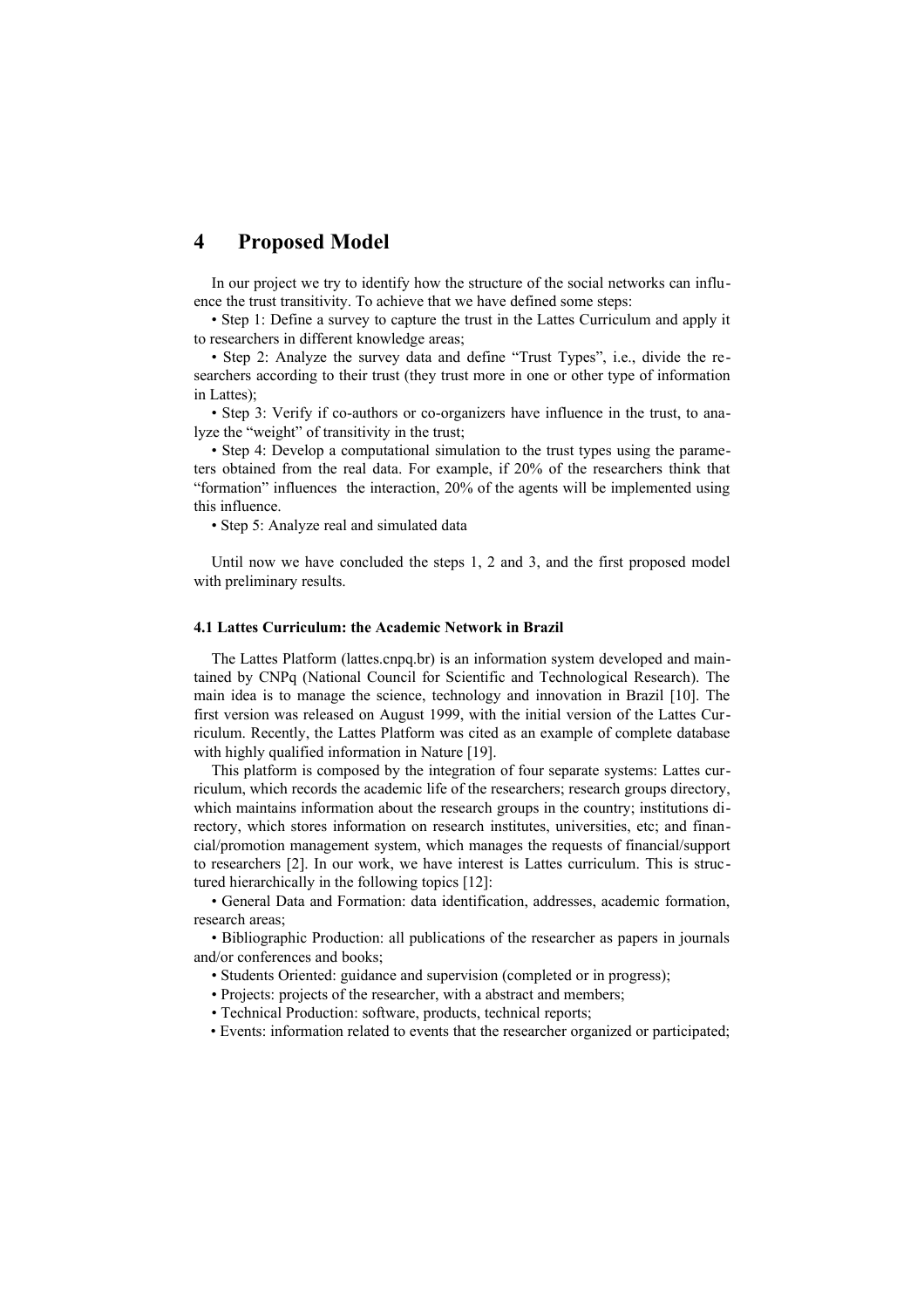## **4 Proposed Model**

In our project we try to identify how the structure of the social networks can influence the trust transitivity. To achieve that we have defined some steps:

• Step 1: Define a survey to capture the trust in the Lattes Curriculum and apply it to researchers in different knowledge areas;

• Step 2: Analyze the survey data and define "Trust Types", i.e., divide the researchers according to their trust (they trust more in one or other type of information in Lattes);

• Step 3: Verify if co-authors or co-organizers have influence in the trust, to analyze the "weight" of transitivity in the trust;

• Step 4: Develop a computational simulation to the trust types using the parameters obtained from the real data. For example, if 20% of the researchers think that "formation" influences the interaction, 20% of the agents will be implemented using this influence.

• Step 5: Analyze real and simulated data

Until now we have concluded the steps 1, 2 and 3, and the first proposed model with preliminary results.

#### **4.1 Lattes Curriculum: the Academic Network in Brazil**

The Lattes Platform (lattes.cnpq.br) is an information system developed and maintained by CNPq (National Council for Scientific and Technological Research). The main idea is to manage the science, technology and innovation in Brazil [10]. The first version was released on August 1999, with the initial version of the Lattes Curriculum. Recently, the Lattes Platform was cited as an example of complete database with highly qualified information in Nature [19].

This platform is composed by the integration of four separate systems: Lattes curriculum, which records the academic life of the researchers; research groups directory, which maintains information about the research groups in the country; institutions directory, which stores information on research institutes, universities, etc; and financial/promotion management system, which manages the requests of financial/support to researchers [2]. In our work, we have interest is Lattes curriculum. This is structured hierarchically in the following topics [12]:

• General Data and Formation: data identification, addresses, academic formation, research areas;

• Bibliographic Production: all publications of the researcher as papers in journals and/or conferences and books;

- Students Oriented: guidance and supervision (completed or in progress);
- Projects: projects of the researcher, with a abstract and members;
- Technical Production: software, products, technical reports;

• Events: information related to events that the researcher organized or participated;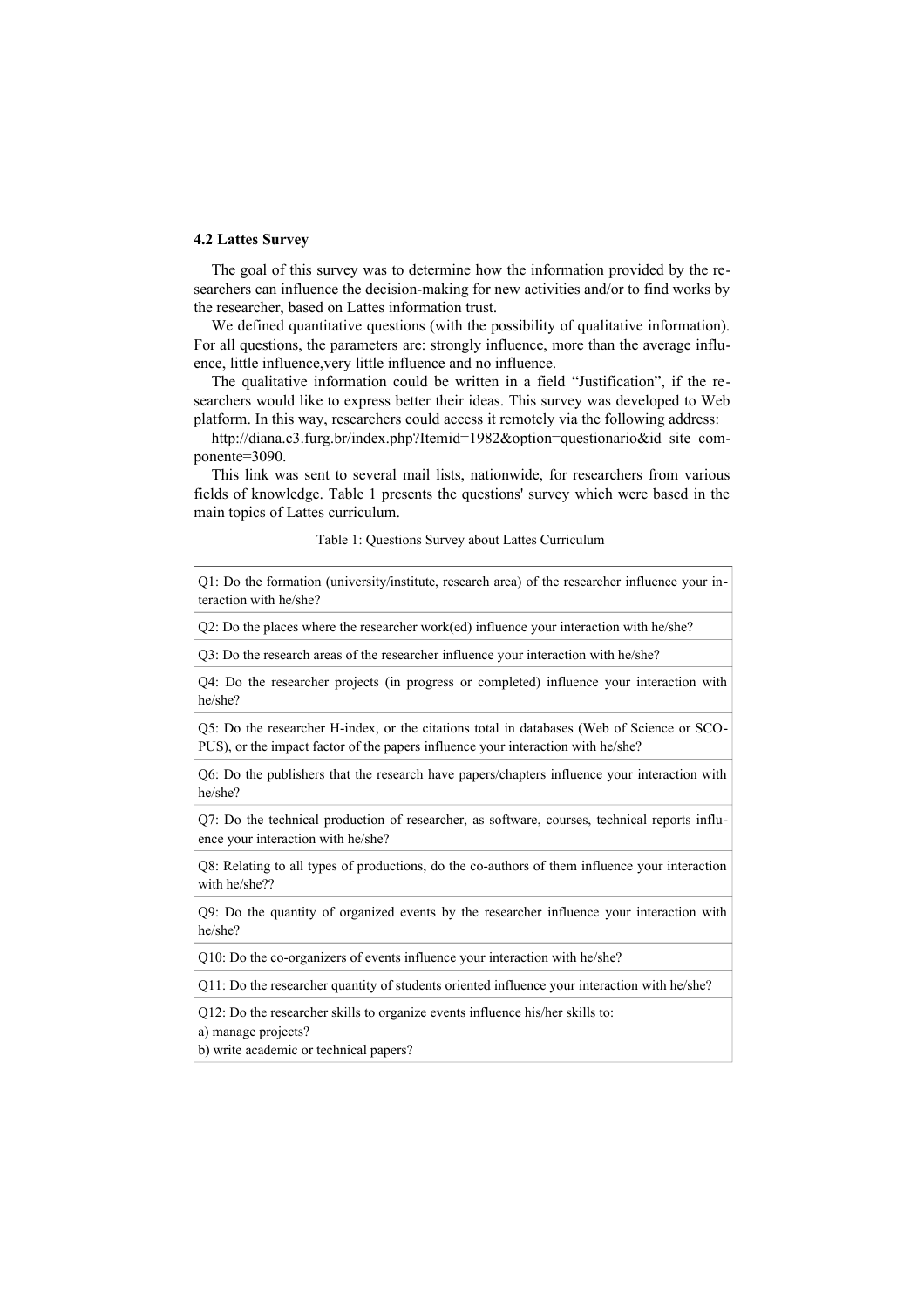#### **4.2 Lattes Survey**

The goal of this survey was to determine how the information provided by the researchers can influence the decision-making for new activities and/or to find works by the researcher, based on Lattes information trust.

We defined quantitative questions (with the possibility of qualitative information). For all questions, the parameters are: strongly influence, more than the average influence, little influence,very little influence and no influence.

The qualitative information could be written in a field "Justification", if the researchers would like to express better their ideas. This survey was developed to Web platform. In this way, researchers could access it remotely via the following address:

http://diana.c3.furg.br/index.php?Itemid=1982&option=questionario&id\_site\_componente=3090.

This link was sent to several mail lists, nationwide, for researchers from various fields of knowledge. Table 1 presents the questions' survey which were based in the main topics of Lattes curriculum.

Table 1: Questions Survey about Lattes Curriculum

Q1: Do the formation (university/institute, research area) of the researcher influence your interaction with he/she?

Q2: Do the places where the researcher work(ed) influence your interaction with he/she?

Q3: Do the research areas of the researcher influence your interaction with he/she?

Q4: Do the researcher projects (in progress or completed) influence your interaction with he/she?

Q5: Do the researcher H-index, or the citations total in databases (Web of Science or SCO-PUS), or the impact factor of the papers influence your interaction with he/she?

Q6: Do the publishers that the research have papers/chapters influence your interaction with he/she?

Q7: Do the technical production of researcher, as software, courses, technical reports influence your interaction with he/she?

Q8: Relating to all types of productions, do the co-authors of them influence your interaction with he/she??

Q9: Do the quantity of organized events by the researcher influence your interaction with he/she?

Q10: Do the co-organizers of events influence your interaction with he/she?

Q11: Do the researcher quantity of students oriented influence your interaction with he/she?

Q12: Do the researcher skills to organize events influence his/her skills to: a) manage projects?

b) write academic or technical papers?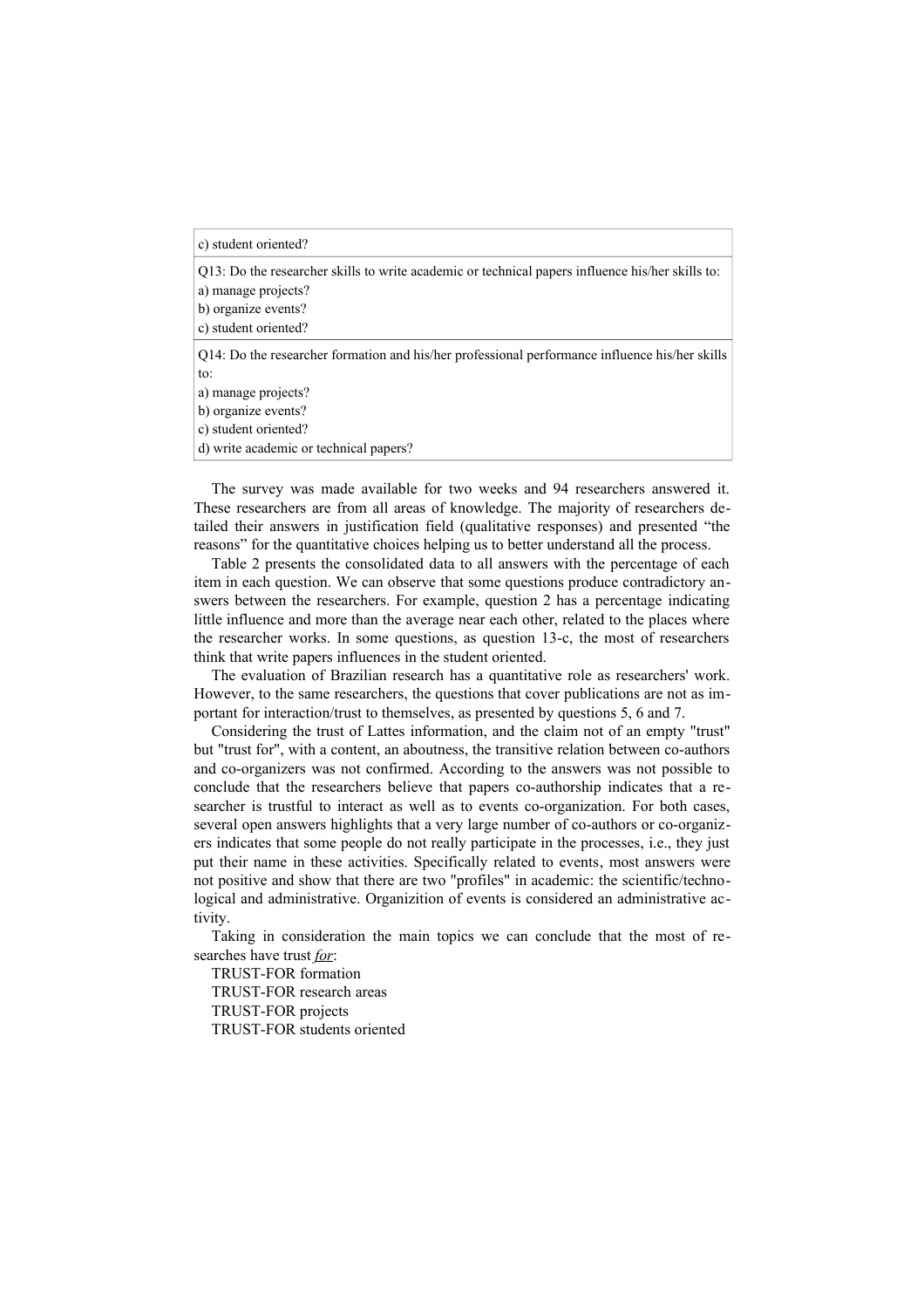Q13: Do the researcher skills to write academic or technical papers influence his/her skills to:

a) manage projects?

b) organize events?

c) student oriented?

Q14: Do the researcher formation and his/her professional performance influence his/her skills to:

a) manage projects?

b) organize events?

c) student oriented?

d) write academic or technical papers?

The survey was made available for two weeks and 94 researchers answered it. These researchers are from all areas of knowledge. The majority of researchers detailed their answers in justification field (qualitative responses) and presented "the reasons" for the quantitative choices helping us to better understand all the process.

Table 2 presents the consolidated data to all answers with the percentage of each item in each question. We can observe that some questions produce contradictory answers between the researchers. For example, question 2 has a percentage indicating little influence and more than the average near each other, related to the places where the researcher works. In some questions, as question 13-c, the most of researchers think that write papers influences in the student oriented.

The evaluation of Brazilian research has a quantitative role as researchers' work. However, to the same researchers, the questions that cover publications are not as important for interaction/trust to themselves, as presented by questions 5, 6 and 7.

Considering the trust of Lattes information, and the claim not of an empty "trust" but "trust for", with a content, an aboutness, the transitive relation between co-authors and co-organizers was not confirmed. According to the answers was not possible to conclude that the researchers believe that papers co-authorship indicates that a researcher is trustful to interact as well as to events co-organization. For both cases, several open answers highlights that a very large number of co-authors or co-organizers indicates that some people do not really participate in the processes, i.e., they just put their name in these activities. Specifically related to events, most answers were not positive and show that there are two "profiles" in academic: the scientific/technological and administrative. Organizition of events is considered an administrative activity.

Taking in consideration the main topics we can conclude that the most of researches have trust *for*:

TRUST-FOR formation TRUST-FOR research areas TRUST-FOR projects TRUST-FOR students oriented

c) student oriented?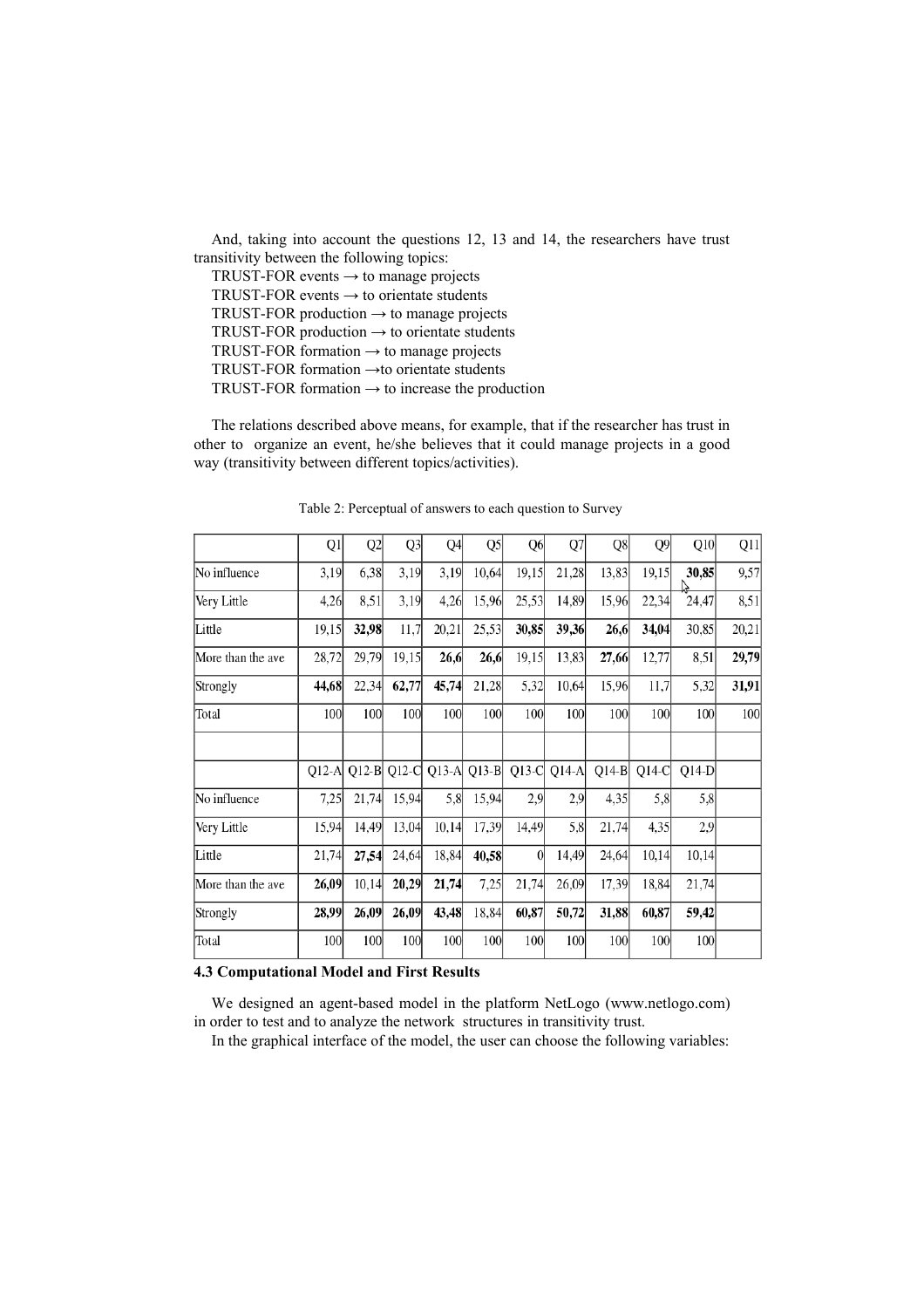And, taking into account the questions 12, 13 and 14, the researchers have trust transitivity between the following topics:

TRUST-FOR events  $\rightarrow$  to manage projects TRUST-FOR events  $\rightarrow$  to orientate students TRUST-FOR production  $\rightarrow$  to manage projects TRUST-FOR production  $\rightarrow$  to orientate students TRUST-FOR formation  $\rightarrow$  to manage projects TRUST-FOR formation →to orientate students TRUST-FOR formation  $\rightarrow$  to increase the production

The relations described above means, for example, that if the researcher has trust in other to organize an event, he/she believes that it could manage projects in a good way (transitivity between different topics/activities).

|                   | Q1      | Q2      | Q3      | Q4         | Q5      | Q <sub>6</sub> | Q7      | Q8         | Q9      | Q10     | Q11   |
|-------------------|---------|---------|---------|------------|---------|----------------|---------|------------|---------|---------|-------|
| No influence      | 3,19    | 6,38    | 3,19    | 3,19       | 10,64   | 19,15          | 21,28   | 13,83      | 19,15   | 30,85   | 9,57  |
| Very Little       | 4,26    | 8,51    | 3,19    | 4,26       | 15,96   | 25,53          | 14,89   | 15,96      | 22,34   | 24,47   | 8,51  |
| Little            | 19,15   | 32,98   | 11,7    | 20,21      | 25,53   | 30,85          | 39,36   | 26,6       | 34,04   | 30,85   | 20,21 |
| More than the ave | 28,72   | 29,79   | 19,15   | 26,6       | 26,6    | 19,15          | 13,83   | 27,66      | 12,77   | 8,51    | 29,79 |
| Strongly          | 44,68   | 22,34   | 62,77   | 45,74      | 21,28   | 5,32           | 10,64   | 15,96      | 11,7    | 5,32    | 31,91 |
| Total             | 100     | 100     | 100     | 100        | 100     | 100            | 100     | 100        | 100     | 100     | 100   |
|                   |         |         |         |            |         |                |         |            |         |         |       |
|                   | $O12-A$ | $Q12-B$ | $Q12-C$ | $Q13-A$    | $Q13-B$ | $Q13-C$        | $Q14-A$ | $Q14-B$    | $O14-C$ | $O14-D$ |       |
| No influence      | 7,25    | 21,74   | 15,94   | 5,8        | 15,94   | 2,9            | 2,9     | 4,35       | 5,8     | 5,8     |       |
| Very Little       | 15,94   | 14,49   | 13,04   | 10,14      | 17,39   | 14,49          | 5,8     | 21,74      | 4,35    | 2,9     |       |
| Little            | 21,74   | 27,54   | 24,64   | 18,84      | 40,58   | $\theta$       | 14,49   | 24,64      | 10,14   | 10,14   |       |
| More than the ave | 26,09   | 10,14   | 20,29   | 21,74      | 7,25    | 21,74          | 26,09   | 17,39      | 18,84   | 21,74   |       |
| Strongly          | 28,99   | 26,09   | 26,09   | 43,48      | 18,84   | 60,87          | 50,72   | 31,88      | 60,87   | 59,42   |       |
| Total             | 100     | 100     | 100     | <b>100</b> | 100     | 100            | 100     | <b>100</b> | 100     | 100     |       |

Table 2: Perceptual of answers to each question to Survey

### **4.3 Computational Model and First Results**

We designed an agent-based model in the platform NetLogo (www.netlogo.com) in order to test and to analyze the network structures in transitivity trust.

In the graphical interface of the model, the user can choose the following variables: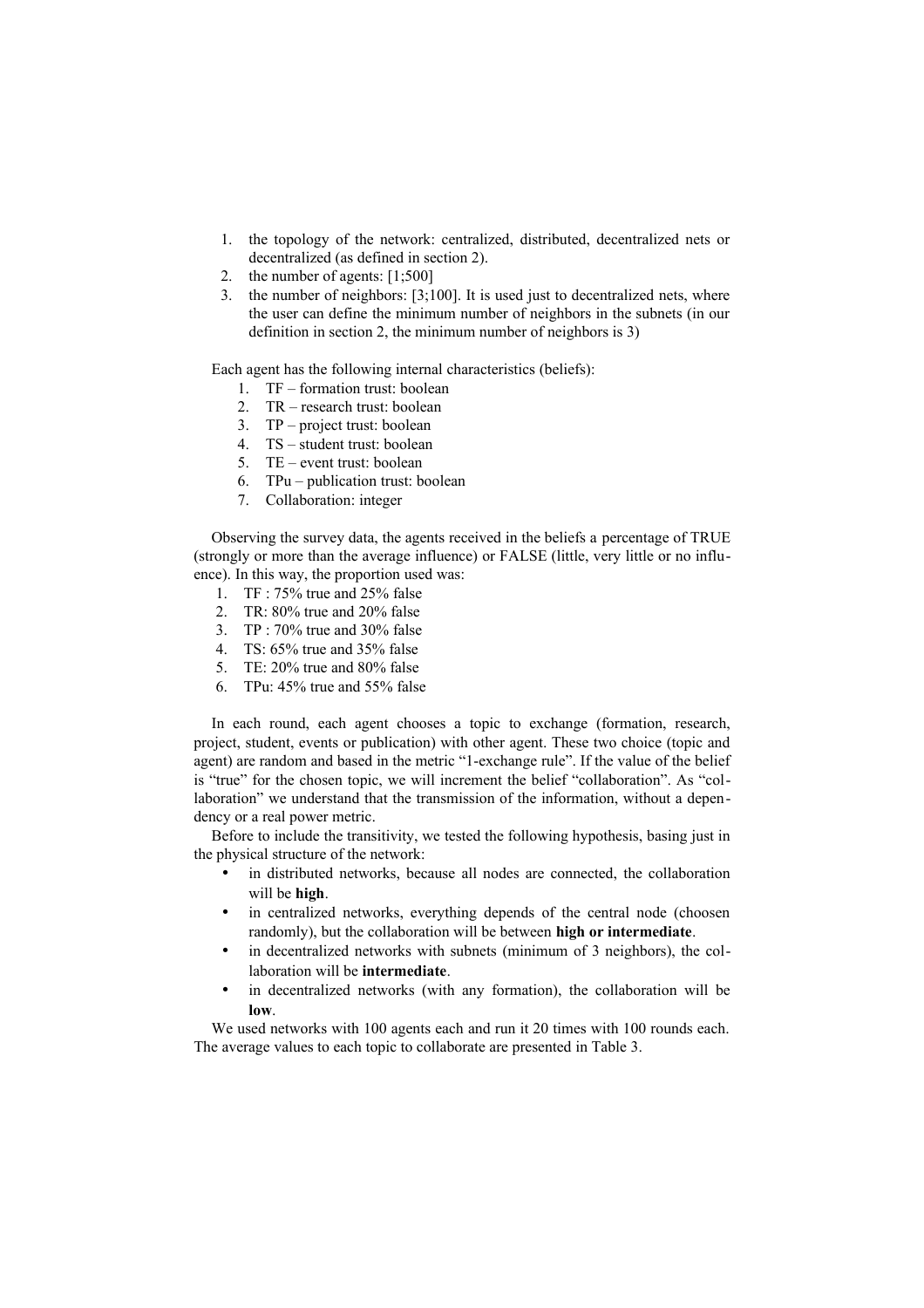- 1. the topology of the network: centralized, distributed, decentralized nets or decentralized (as defined in section 2).
- 2. the number of agents: [1;500]
- 3. the number of neighbors: [3;100]. It is used just to decentralized nets, where the user can define the minimum number of neighbors in the subnets (in our definition in section 2, the minimum number of neighbors is 3)

Each agent has the following internal characteristics (beliefs):

- 1. TF formation trust: boolean
- 2. TR research trust: boolean
- 3. TP project trust: boolean
- 4. TS student trust: boolean
- 5. TE event trust: boolean
- 6. TPu publication trust: boolean
- 7. Collaboration: integer

Observing the survey data, the agents received in the beliefs a percentage of TRUE (strongly or more than the average influence) or FALSE (little, very little or no influence). In this way, the proportion used was:

- 1. TF : 75% true and 25% false
- 2. TR: 80% true and 20% false
- 3. TP : 70% true and 30% false
- 4. TS: 65% true and 35% false
- 5. TE: 20% true and 80% false
- 6. TPu: 45% true and 55% false

In each round, each agent chooses a topic to exchange (formation, research, project, student, events or publication) with other agent. These two choice (topic and agent) are random and based in the metric "1-exchange rule". If the value of the belief is "true" for the chosen topic, we will increment the belief "collaboration". As "collaboration" we understand that the transmission of the information, without a dependency or a real power metric.

Before to include the transitivity, we tested the following hypothesis, basing just in the physical structure of the network:

- in distributed networks, because all nodes are connected, the collaboration will be **high**.
- in centralized networks, everything depends of the central node (choosen randomly), but the collaboration will be between **high or intermediate**.
- in decentralized networks with subnets (minimum of 3 neighbors), the collaboration will be **intermediate**.
- in decentralized networks (with any formation), the collaboration will be **low**.

We used networks with 100 agents each and run it 20 times with 100 rounds each. The average values to each topic to collaborate are presented in Table 3.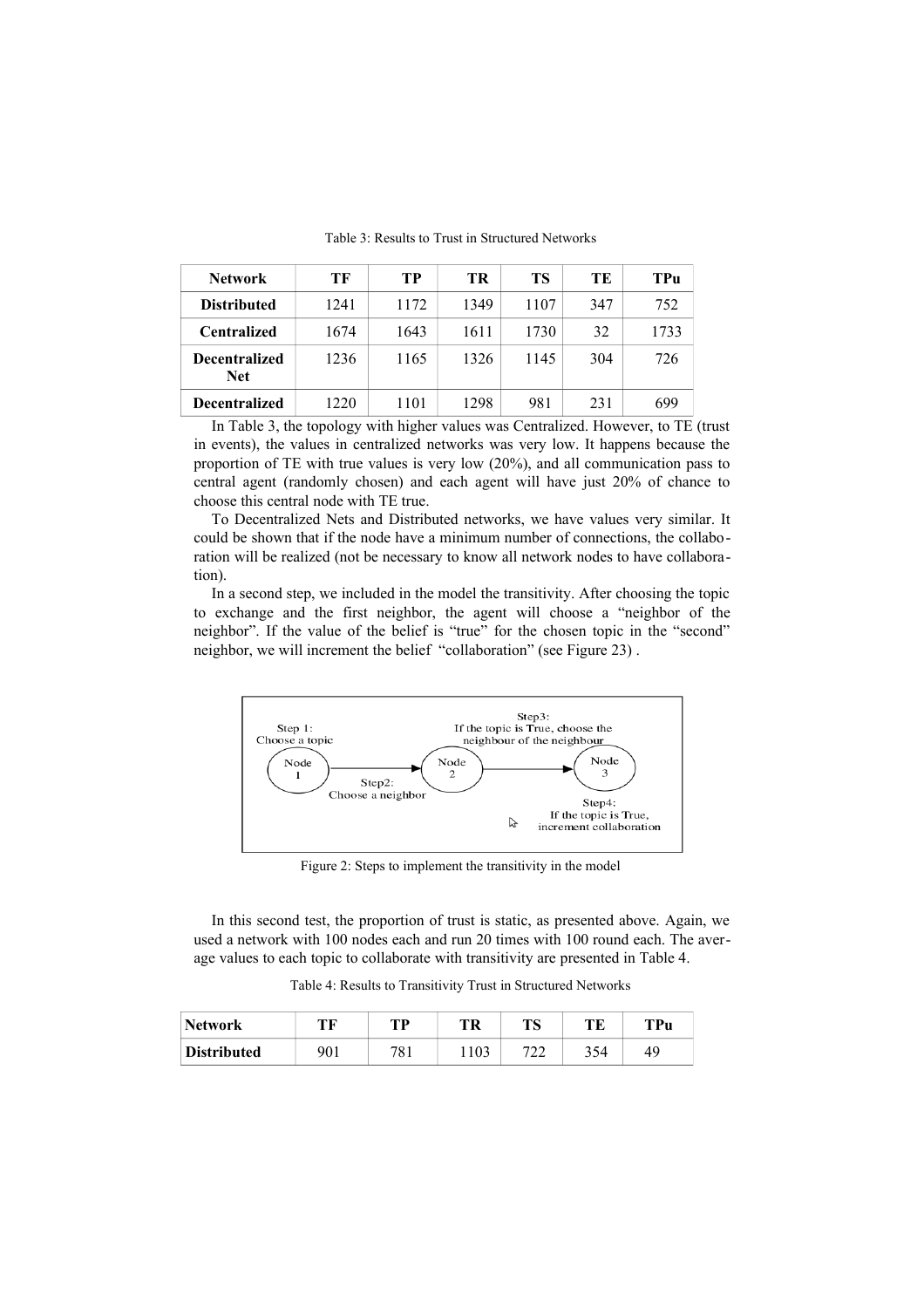| <b>Network</b>                     | ТF   | TР   | TR   | TS   | TЕ  | TPu  |
|------------------------------------|------|------|------|------|-----|------|
| <b>Distributed</b>                 | 1241 | 1172 | 1349 | 1107 | 347 | 752  |
| <b>Centralized</b>                 | 1674 | 1643 | 1611 | 1730 | 32  | 1733 |
| <b>Decentralized</b><br><b>Net</b> | 1236 | 1165 | 1326 | 1145 | 304 | 726  |
| <b>Decentralized</b>               | 1220 | 1101 | 1298 | 981  | 231 | 699  |

Table 3: Results to Trust in Structured Networks

In Table 3, the topology with higher values was Centralized. However, to TE (trust in events), the values in centralized networks was very low. It happens because the proportion of TE with true values is very low (20%), and all communication pass to central agent (randomly chosen) and each agent will have just 20% of chance to choose this central node with TE true.

To Decentralized Nets and Distributed networks, we have values very similar. It could be shown that if the node have a minimum number of connections, the collaboration will be realized (not be necessary to know all network nodes to have collaboration).

In a second step, we included in the model the transitivity. After choosing the topic to exchange and the first neighbor, the agent will choose a "neighbor of the neighbor". If the value of the belief is "true" for the chosen topic in the "second" neighbor, we will increment the belief "collaboration" (see Figure 23) .



Figure 2: Steps to implement the transitivity in the model

In this second test, the proportion of trust is static, as presented above. Again, we used a network with 100 nodes each and run 20 times with 100 round each. The average values to each topic to collaborate with transitivity are presented in Table 4.

Table 4: Results to Transitivity Trust in Structured Networks

| <b>Network</b>     | ТF  | TD  | TR | TС<br>כו ב | TЕ  | TPu |
|--------------------|-----|-----|----|------------|-----|-----|
| <b>Distributed</b> | 901 | 781 |    | י הי<br>∠∠ | 354 | 49  |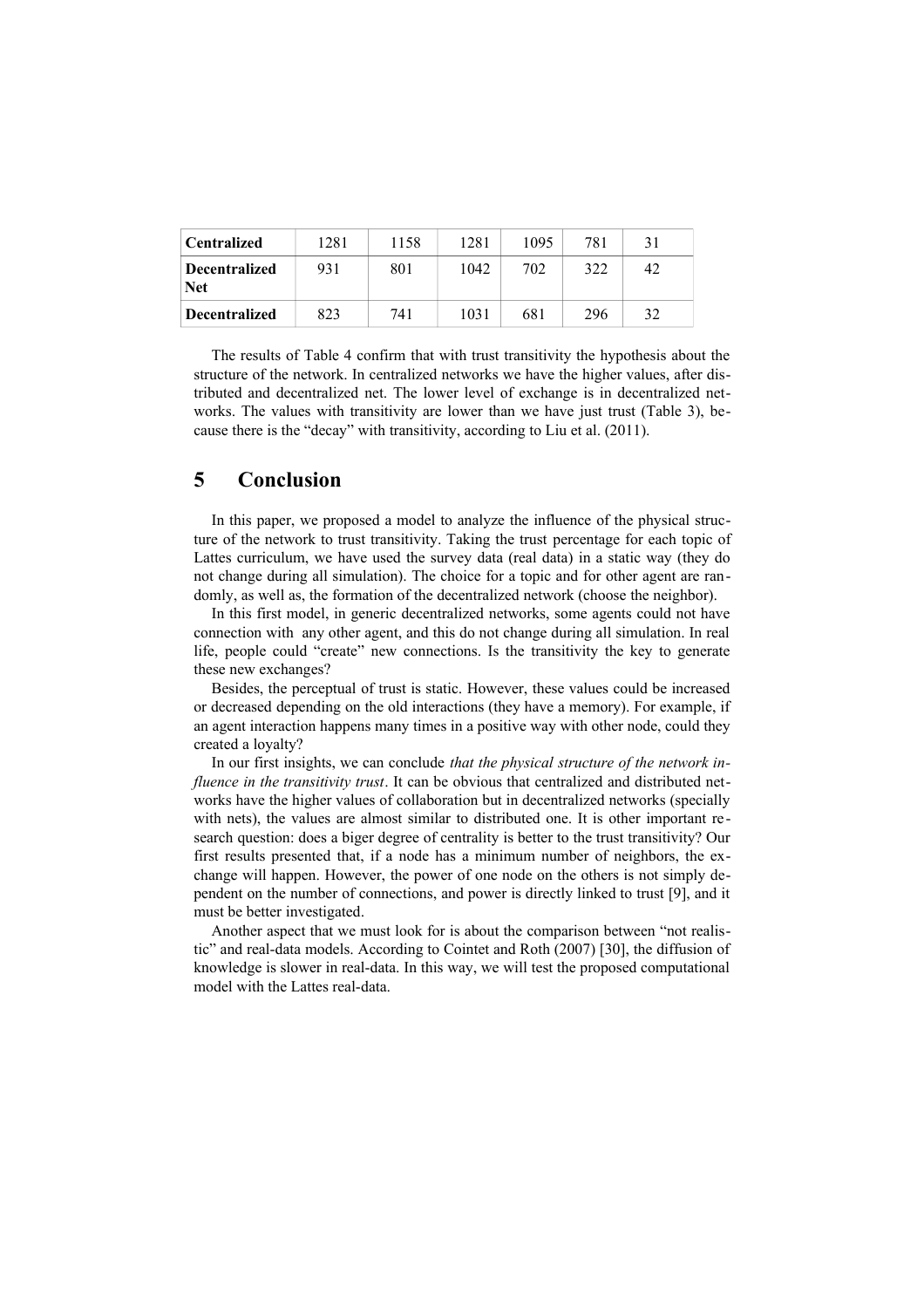| <b>Centralized</b>                 | 1281 | 1158 | 1281 | 1095 | 781 | 31 |
|------------------------------------|------|------|------|------|-----|----|
| <b>Decentralized</b><br><b>Net</b> | 931  | 801  | 1042 | 702  | 322 | 42 |
| <b>Decentralized</b>               | 823  | 741  | 1031 | 681  | 296 | 32 |

The results of Table 4 confirm that with trust transitivity the hypothesis about the structure of the network. In centralized networks we have the higher values, after distributed and decentralized net. The lower level of exchange is in decentralized networks. The values with transitivity are lower than we have just trust (Table 3), because there is the "decay" with transitivity, according to Liu et al. (2011).

## **5 Conclusion**

In this paper, we proposed a model to analyze the influence of the physical structure of the network to trust transitivity. Taking the trust percentage for each topic of Lattes curriculum, we have used the survey data (real data) in a static way (they do not change during all simulation). The choice for a topic and for other agent are randomly, as well as, the formation of the decentralized network (choose the neighbor).

In this first model, in generic decentralized networks, some agents could not have connection with any other agent, and this do not change during all simulation. In real life, people could "create" new connections. Is the transitivity the key to generate these new exchanges?

Besides, the perceptual of trust is static. However, these values could be increased or decreased depending on the old interactions (they have a memory). For example, if an agent interaction happens many times in a positive way with other node, could they created a loyalty?

In our first insights, we can conclude *that the physical structure of the network influence in the transitivity trust*. It can be obvious that centralized and distributed networks have the higher values of collaboration but in decentralized networks (specially with nets), the values are almost similar to distributed one. It is other important research question: does a biger degree of centrality is better to the trust transitivity? Our first results presented that, if a node has a minimum number of neighbors, the exchange will happen. However, the power of one node on the others is not simply dependent on the number of connections, and power is directly linked to trust [9], and it must be better investigated.

Another aspect that we must look for is about the comparison between "not realistic" and real-data models. According to Cointet and Roth (2007) [30], the diffusion of knowledge is slower in real-data. In this way, we will test the proposed computational model with the Lattes real-data.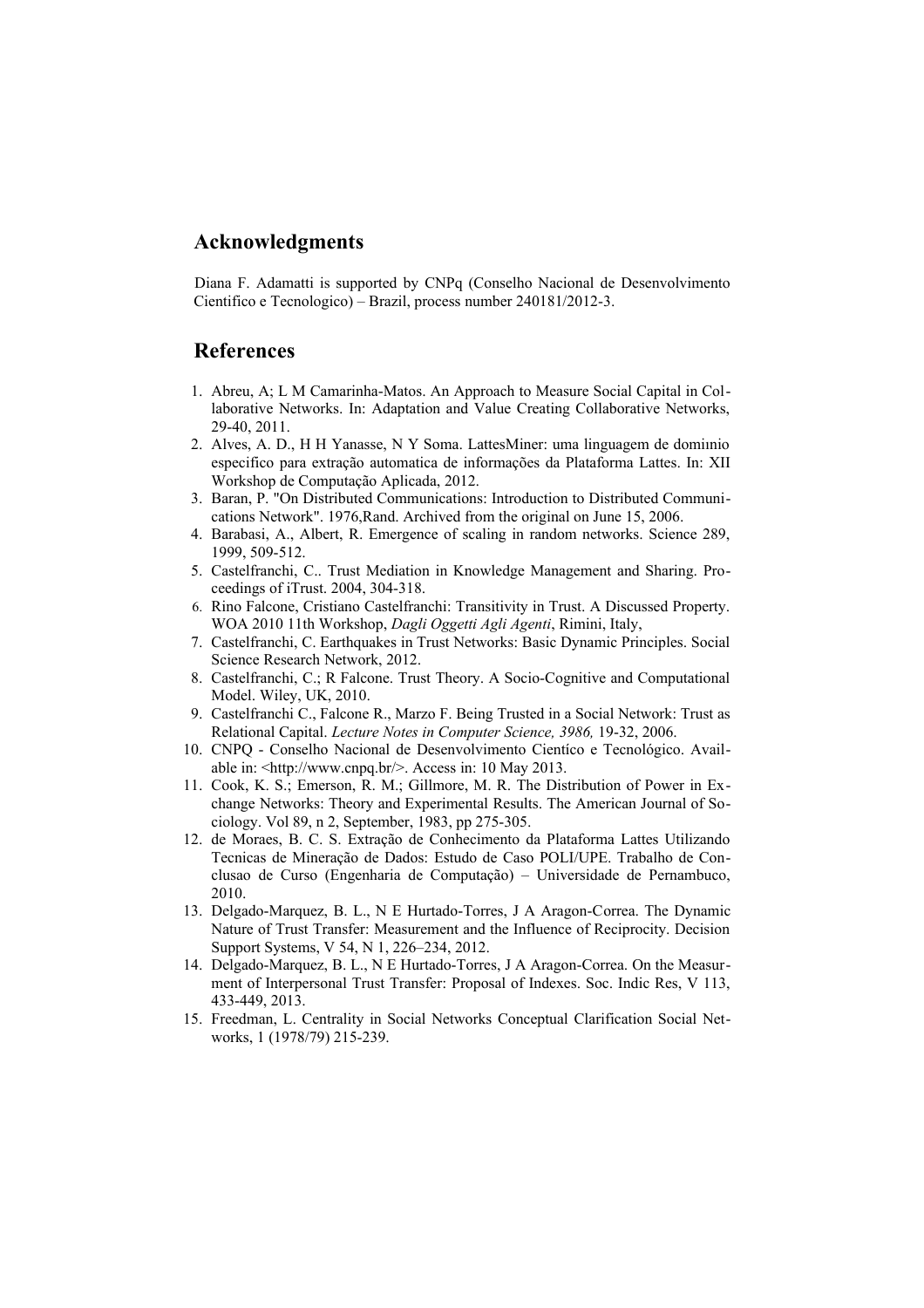## **Acknowledgments**

Diana F. Adamatti is supported by CNPq (Conselho Nacional de Desenvolvimento Cientifico e Tecnologico) – Brazil, process number 240181/2012-3.

# **References**

- 1. Abreu, A; L M Camarinha-Matos. An Approach to Measure Social Capital in Collaborative Networks. In: Adaptation and Value Creating Collaborative Networks, 29-40, 2011.
- 2. Alves, A. D., H H Yanasse, N Y Soma. LattesMiner: uma linguagem de domiınio especifico para extração automatica de informações da Plataforma Lattes. In: XII Workshop de Computação Aplicada, 2012.
- 3. Baran, P. "On Distributed Communications: Introduction to Distributed Communications Network". 1976,Rand. Archived from the original on June 15, 2006.
- 4. Barabasi, A., Albert, R. Emergence of scaling in random networks. Science 289, 1999, 509-512.
- 5. Castelfranchi, C.. Trust Mediation in Knowledge Management and Sharing. Proceedings of iTrust. 2004, 304-318.
- 6. [Rino Falcone,](http://www.informatik.uni-trier.de/~ley/db/indices/a-tree/f/Falcone:Rino.html) Cristiano Castelfranchi: Transitivity in Trust. A Discussed Property. [WOA 2010](http://www.informatik.uni-trier.de/~ley/db/conf/woa/woa2010.html#FalconeC10) 11th Workshop, *Dagli Oggetti Agli Agenti*, Rimini, Italy,
- 7. Castelfranchi, C. Earthquakes in Trust Networks: Basic Dynamic Principles. Social Science Research Network, 2012.
- 8. Castelfranchi, C.; R Falcone. Trust Theory. A Socio-Cognitive and Computational Model. Wiley, UK, 2010.
- 9. Castelfranchi C., Falcone R., Marzo F. Being Trusted in a Social Network: Trust as Relational Capital. *Lecture Notes in Computer Science, 3986,* 19-32, 2006.
- 10. CNPQ Conselho Nacional de Desenvolvimento Cientíco e Tecnológico. Available in: <http://www.cnpq.br/>. Access in: 10 May 2013.
- 11. Cook, K. S.; Emerson, R. M.; Gillmore, M. R. The Distribution of Power in Exchange Networks: Theory and Experimental Results. The American Journal of Sociology. Vol 89, n 2, September, 1983, pp 275-305.
- 12. de Moraes, B. C. S. Extração de Conhecimento da Plataforma Lattes Utilizando Tecnicas de Mineração de Dados: Estudo de Caso POLI/UPE. Trabalho de Conclusao de Curso (Engenharia de Computação) – Universidade de Pernambuco, 2010.
- 13. Delgado-Marquez, B. L., N E Hurtado-Torres, J A Aragon-Correa. The Dynamic Nature of Trust Transfer: Measurement and the Influence of Reciprocity. Decision Support Systems, V 54, N 1, 226–234, 2012.
- 14. Delgado-Marquez, B. L., N E Hurtado-Torres, J A Aragon-Correa. On the Measurment of Interpersonal Trust Transfer: Proposal of Indexes. Soc. Indic Res, V 113, 433-449, 2013.
- 15. Freedman, L. Centrality in Social Networks Conceptual Clarification Social Networks, 1 (1978/79) 215-239.